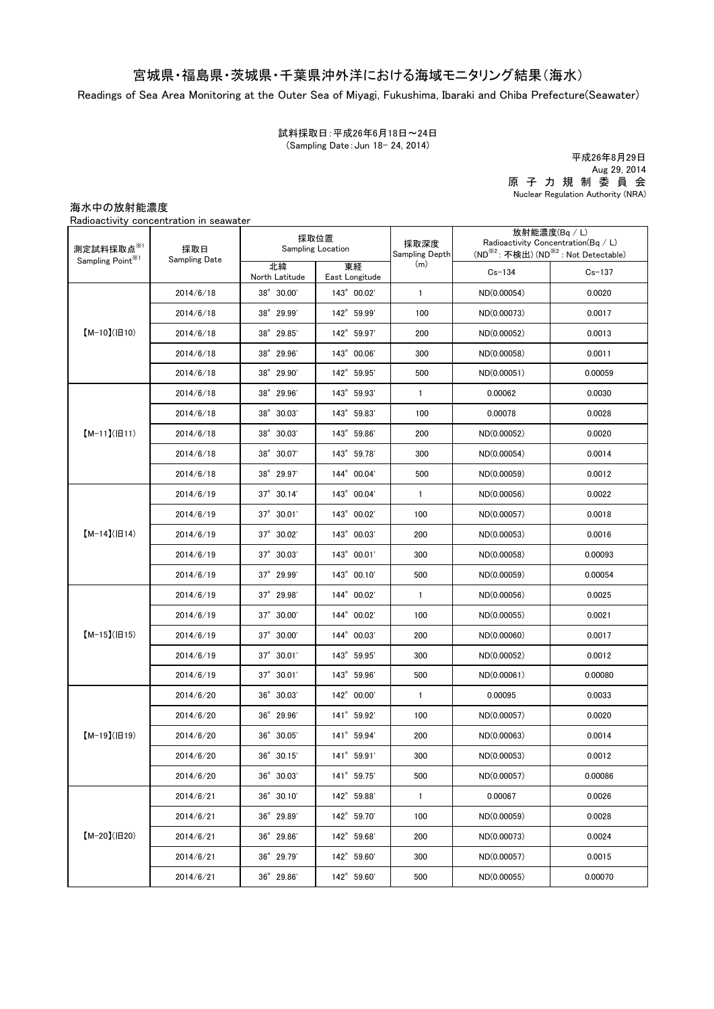## 宮城県・福島県・茨城県・千葉県沖外洋における海域モニタリング結果(海水)

Readings of Sea Area Monitoring at the Outer Sea of Miyagi, Fukushima, Ibaraki and Chiba Prefecture(Seawater)

(Sampling Date:Jun 18- 24, 2014) 試料採取日:平成26年6月18日~24日

原 子 力 規 制 委 員 会 Nuclear Regulation Authority (NRA) 平成26年8月29日 Aug 29, 2014

海水中の放射能濃度

Radioactivity concentration in seawater

| 測定試料採取点※1<br>Sampling Point <sup>※1</sup> | 採取日<br>Sampling Date | 採取位置<br>Sampling Location |                      | 採取深度<br>Sampling Depth | 放射能濃度(Bq / L)<br>Radioactivity Concentration( $Bq / L$ )<br>(ND <sup>※2</sup> : 不検出) (ND <sup>※2</sup> : Not Detectable) |            |
|-------------------------------------------|----------------------|---------------------------|----------------------|------------------------|--------------------------------------------------------------------------------------------------------------------------|------------|
|                                           |                      | 北緯<br>North Latitude      | 東経<br>East Longitude | (m)                    | $Cs - 134$                                                                                                               | $Cs - 137$ |
| $[M-10](H10)$                             | 2014/6/18            | 38° 30.00'                | 143° 00.02'          | $\mathbf{1}$           | ND(0.00054)                                                                                                              | 0.0020     |
|                                           | 2014/6/18            | 38° 29.99'                | 142° 59.99'          | 100                    | ND(0.00073)                                                                                                              | 0.0017     |
|                                           | 2014/6/18            | 38° 29.85'                | 142° 59.97'          | 200                    | ND(0.00052)                                                                                                              | 0.0013     |
|                                           | 2014/6/18            | 38° 29.96'                | 143° 00.06'          | 300                    | ND(0.00058)                                                                                                              | 0.0011     |
|                                           | 2014/6/18            | 38° 29.90'                | 142° 59.95'          | 500                    | ND(0.00051)                                                                                                              | 0.00059    |
| $[M-11](H11)$                             | 2014/6/18            | 38° 29.96'                | 143° 59.93'          | $\mathbf{1}$           | 0.00062                                                                                                                  | 0.0030     |
|                                           | 2014/6/18            | 38° 30.03'                | 143° 59.83'          | 100                    | 0.00078                                                                                                                  | 0.0028     |
|                                           | 2014/6/18            | 38° 30.03'                | 143° 59.86'          | 200                    | ND(0.00052)                                                                                                              | 0.0020     |
|                                           | 2014/6/18            | 38° 30.07'                | 143° 59.78'          | 300                    | ND(0.00054)                                                                                                              | 0.0014     |
|                                           | 2014/6/18            | 38° 29.97'                | 144° 00.04'          | 500                    | ND(0.00059)                                                                                                              | 0.0012     |
|                                           | 2014/6/19            | $37^{\circ}$ 30.14'       | 143° 00.04'          | $\mathbf{1}$           | ND(0.00056)                                                                                                              | 0.0022     |
| $[M-14]( H14)$                            | 2014/6/19            | $37^\circ$ 30.01'         | 143° 00.02'          | 100                    | ND(0.00057)                                                                                                              | 0.0018     |
|                                           | 2014/6/19            | $37^{\circ}$ 30.02'       | 143° 00.03'          | 200                    | ND(0.00053)                                                                                                              | 0.0016     |
|                                           | 2014/6/19            | $37^\circ$ 30.03'         | 143° 00.01'          | 300                    | ND(0.00058)                                                                                                              | 0.00093    |
|                                           | 2014/6/19            | $37^{\circ}$ 29.99'       | 143° 00.10'          | 500                    | ND(0.00059)                                                                                                              | 0.00054    |
|                                           | 2014/6/19            | $37^\circ$ 29.98'         | 144° 00.02'          | $\mathbf{1}$           | ND(0.00056)                                                                                                              | 0.0025     |
|                                           | 2014/6/19            | 37° 30.00'                | 144° 00.02'          | 100                    | ND(0.00055)                                                                                                              | 0.0021     |
| $[M-15]$ ( $[H15]$                        | 2014/6/19            | $37^{\circ}$ 30.00'       | 144° 00.03'          | 200                    | ND(0.00060)                                                                                                              | 0.0017     |
|                                           | 2014/6/19            | $37^{\circ}$ 30.01'       | 143° 59.95'          | 300                    | ND(0.00052)                                                                                                              | 0.0012     |
|                                           | 2014/6/19            | $37^{\circ}$ 30.01'       | 143° 59.96'          | 500                    | ND(0.00061)                                                                                                              | 0.00080    |
| $[M-19](H19)$                             | 2014/6/20            | 36° 30.03'                | 142° 00.00'          | $\mathbf{1}$           | 0.00095                                                                                                                  | 0.0033     |
|                                           | 2014/6/20            | 36° 29.96'                | 141° 59.92'          | 100                    | ND(0.00057)                                                                                                              | 0.0020     |
|                                           | 2014/6/20            | 36° 30.05'                | 141° 59.94'          | 200                    | ND(0.00063)                                                                                                              | 0.0014     |
|                                           | 2014/6/20            | 36°30.15'                 | 141° 59.91'          | 300                    | ND(0.00053)                                                                                                              | 0.0012     |
|                                           | 2014/6/20            | 36° 30.03'                | 141° 59.75'          | 500                    | ND(0.00057)                                                                                                              | 0.00086    |
| $[M-20](H20)$                             | 2014/6/21            | 36° 30.10'                | 142° 59.88'          | $\mathbf{1}$           | 0.00067                                                                                                                  | 0.0026     |
|                                           | 2014/6/21            | 36° 29.89'                | 142° 59.70'          | 100                    | ND(0.00059)                                                                                                              | 0.0028     |
|                                           | 2014/6/21            | 36° 29.86'                | 142° 59.68'          | 200                    | ND(0.00073)                                                                                                              | 0.0024     |
|                                           | 2014/6/21            | 36° 29.79'                | 142° 59.60'          | 300                    | ND(0.00057)                                                                                                              | 0.0015     |
|                                           | 2014/6/21            | 36° 29.86'                | 142° 59.60'          | 500                    | ND(0.00055)                                                                                                              | 0.00070    |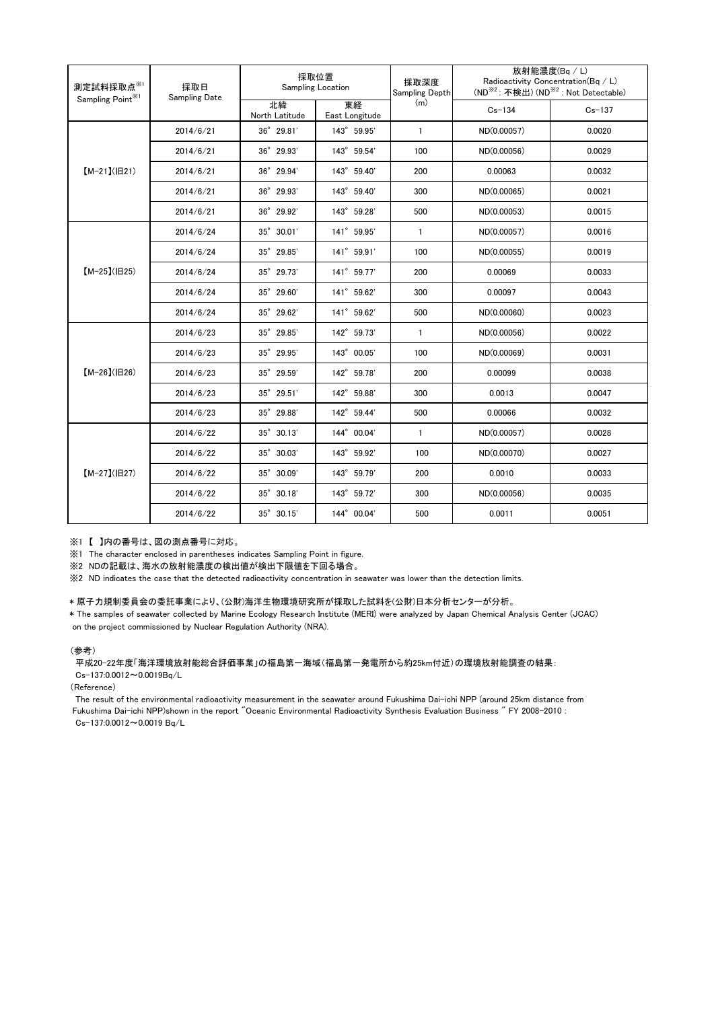| 測定試料採取点※1<br>Sampling Point <sup>361</sup> | 採取日<br><b>Sampling Date</b> | 採取位置<br>Sampling Location |                      | 採取深度<br>Sampling Depth | 放射能濃度(Bq / L)<br>Radioactivity Concentration(Bq / L)<br>(ND <sup>※2</sup> : 不検出) (ND <sup>※2</sup> : Not Detectable) |            |
|--------------------------------------------|-----------------------------|---------------------------|----------------------|------------------------|----------------------------------------------------------------------------------------------------------------------|------------|
|                                            |                             | 北緯<br>North Latitude      | 東経<br>East Longitude | (m)                    | $Cs - 134$                                                                                                           | $Cs - 137$ |
| $[M-21](H21)$                              | 2014/6/21                   | 36° 29.81'                | 143° 59.95'          | $\mathbf{1}$           | ND(0.00057)                                                                                                          | 0.0020     |
|                                            | 2014/6/21                   | 36° 29.93'                | 143° 59.54'          | 100                    | ND(0.00056)                                                                                                          | 0.0029     |
|                                            | 2014/6/21                   | 36° 29.94'                | 143° 59.40'          | 200                    | 0.00063                                                                                                              | 0.0032     |
|                                            | 2014/6/21                   | 36° 29.93'                | 143° 59.40'          | 300                    | ND(0.00065)                                                                                                          | 0.0021     |
|                                            | 2014/6/21                   | 36° 29.92'                | 143° 59.28'          | 500                    | ND(0.00053)                                                                                                          | 0.0015     |
| $[M-25](H25)$                              | 2014/6/24                   | 35° 30.01'                | 141° 59.95'          | $\mathbf{1}$           | ND(0.00057)                                                                                                          | 0.0016     |
|                                            | 2014/6/24                   | 35° 29.85'                | 141° 59.91'          | 100                    | ND(0.00055)                                                                                                          | 0.0019     |
|                                            | 2014/6/24                   | 35° 29.73'                | 141° 59.77'          | 200                    | 0.00069                                                                                                              | 0.0033     |
|                                            | 2014/6/24                   | 35° 29.60'                | 141° 59.62'          | 300                    | 0.00097                                                                                                              | 0.0043     |
|                                            | 2014/6/24                   | 35° 29.62'                | 141° 59.62'          | 500                    | ND(0.00060)                                                                                                          | 0.0023     |
| $[M-26](H26)$                              | 2014/6/23                   | 35° 29.85'                | 142° 59.73'          | $\mathbf{1}$           | ND(0.00056)                                                                                                          | 0.0022     |
|                                            | 2014/6/23                   | $35^{\circ}$ 29.95'       | 143° 00.05'          | 100                    | ND(0.00069)                                                                                                          | 0.0031     |
|                                            | 2014/6/23                   | 35° 29.59'                | 142° 59.78'          | 200                    | 0.00099                                                                                                              | 0.0038     |
|                                            | 2014/6/23                   | 35° 29.51'                | 142° 59.88'          | 300                    | 0.0013                                                                                                               | 0.0047     |
|                                            | 2014/6/23                   | 35° 29.88'                | 142° 59.44'          | 500                    | 0.00066                                                                                                              | 0.0032     |
| $[M-27](B27)$                              | 2014/6/22                   | $35^{\circ}$ 30.13'       | 144° 00.04'          | $\mathbf{1}$           | ND(0.00057)                                                                                                          | 0.0028     |
|                                            | 2014/6/22                   | 35° 30.03'                | 143° 59.92'          | 100                    | ND(0.00070)                                                                                                          | 0.0027     |
|                                            | 2014/6/22                   | 35° 30.09'                | 143° 59.79'          | 200                    | 0.0010                                                                                                               | 0.0033     |
|                                            | 2014/6/22                   | 35° 30.18'                | 143° 59.72'          | 300                    | ND(0.00056)                                                                                                          | 0.0035     |
|                                            | 2014/6/22                   | $35^{\circ}$ 30.15'       | 144° 00.04'          | 500                    | 0.0011                                                                                                               | 0.0051     |

※1 【 】内の番号は、図の測点番号に対応。

※1 The character enclosed in parentheses indicates Sampling Point in figure.

...<br>※2 NDの記載は、海水の放射能濃度の検出値が検出下限値を下回る場合。

※2 ND indicates the case that the detected radioactivity concentration in seawater was lower than the detection limits.

## \* 原子力規制委員会の委託事業により、(公財)海洋生物環境研究所が採取した試料を(公財)日本分析センターが分析。

on the project commissioned by Nuclear Regulation Authority (NRA). \* The samples of seawater collected by Marine Ecology Research Institute (MERI) were analyzed by Japan Chemical Analysis Center (JCAC)

## (参考)

平成20-22年度「海洋環境放射能総合評価事業」の福島第一海域(福島第一発電所から約25km付近)の環境放射能調査の結果: Cs-137:0.0012~0.0019Bq/L

(Reference)

The result of the environmental radioactivity measurement in the seawater around Fukushima Dai-ichi NPP (around 25km distance from Fukushima Dai-ichi NPP)shown in the report "Oceanic Environmental Radioactivity Synthesis Evaluation Business " FY 2008-2010 : Cs-137:0.0012~0.0019 Bq/L